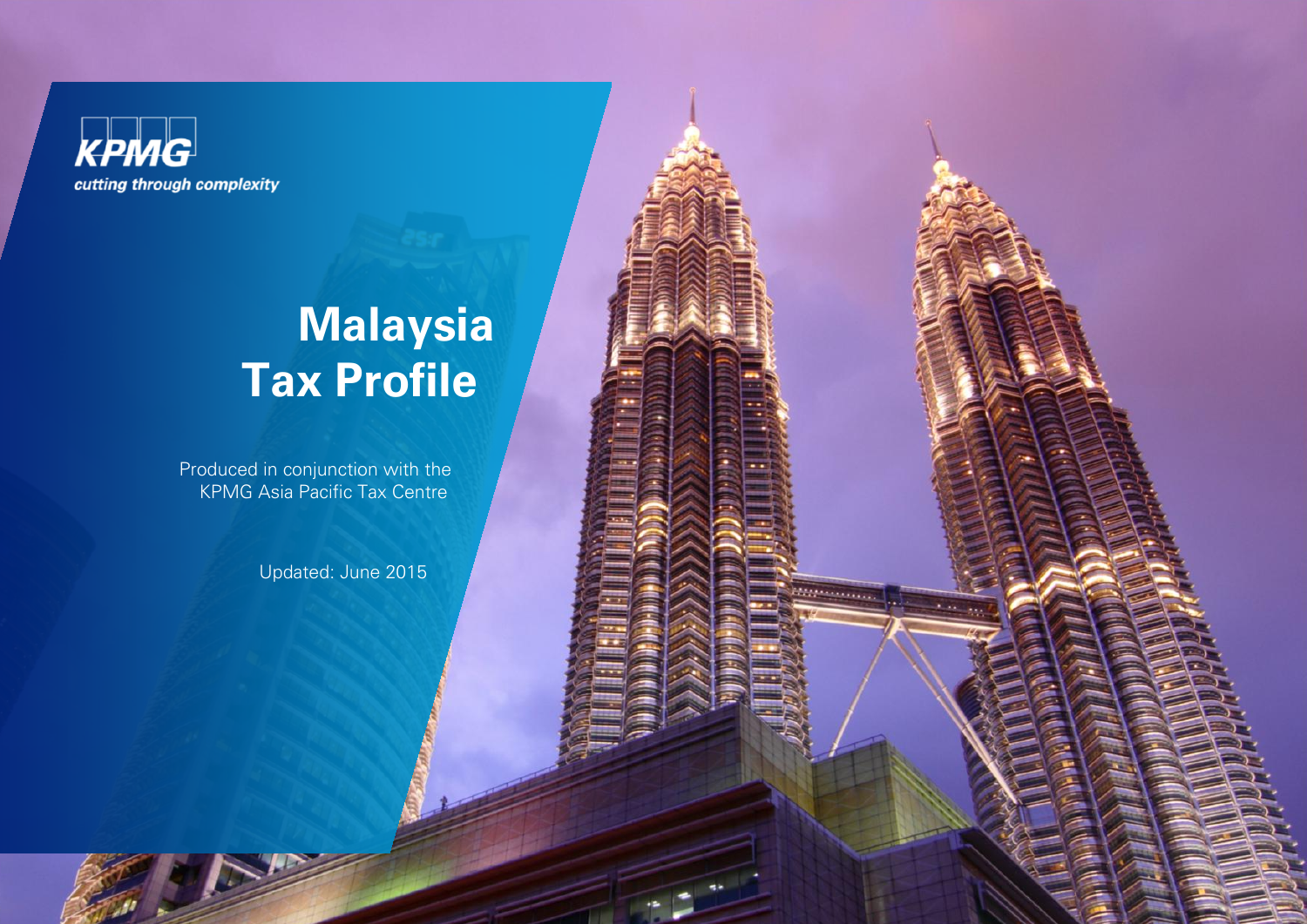

# **Malaysia Tax Profile**

Produced in conjunction with the **KPMG Asia Pacific Tax Centre** 

Updated: June 2015

**REFERENCES**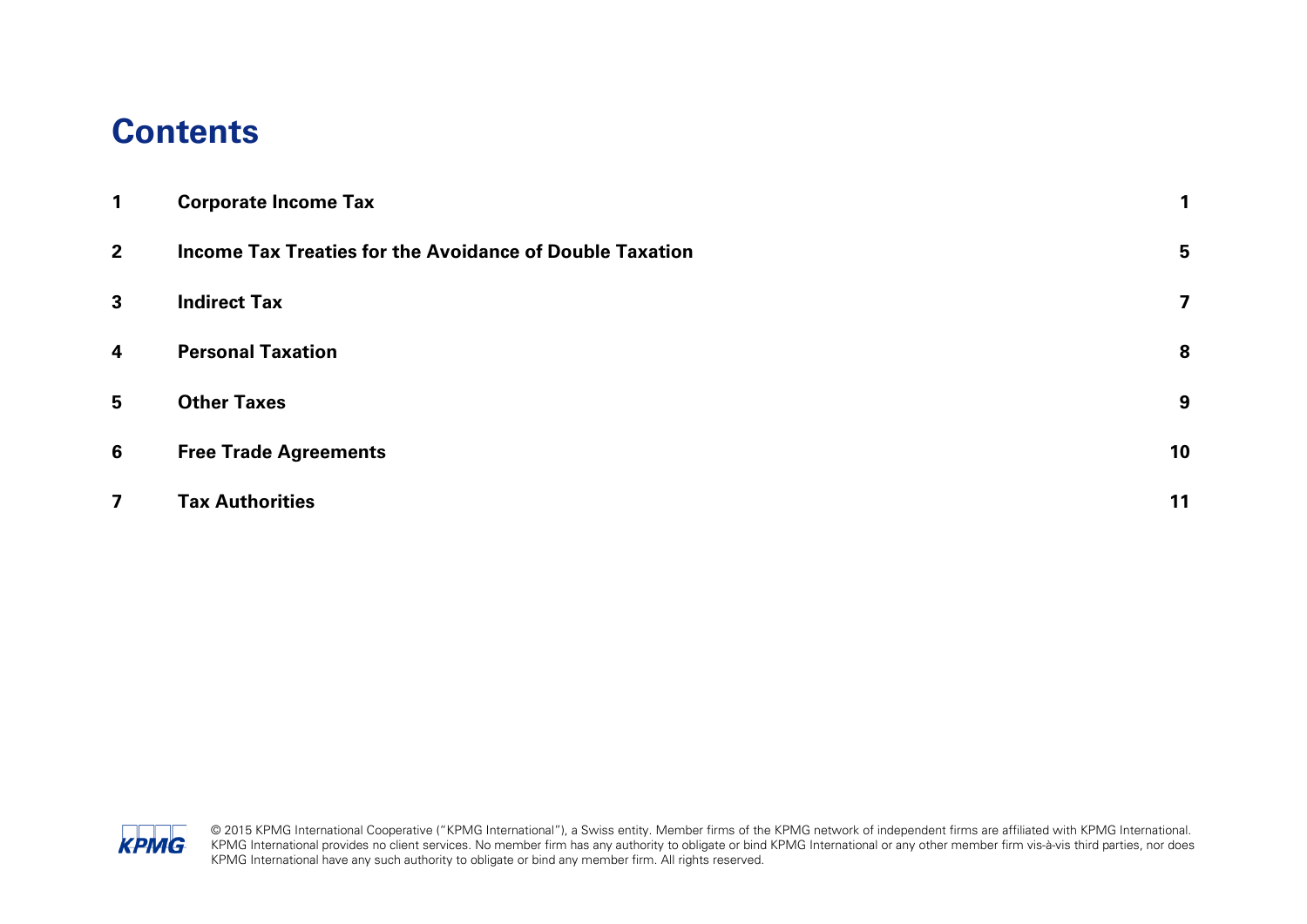#### **Contents**

| $\mathbf{1}$            | <b>Corporate Income Tax</b>                                     |    |
|-------------------------|-----------------------------------------------------------------|----|
| 2 <sup>2</sup>          | <b>Income Tax Treaties for the Avoidance of Double Taxation</b> | 5  |
| $\mathbf{3}$            | <b>Indirect Tax</b>                                             | 7  |
| $\overline{\mathbf{4}}$ | <b>Personal Taxation</b>                                        | 8  |
| 5                       | <b>Other Taxes</b>                                              | 9  |
| 6                       | <b>Free Trade Agreements</b>                                    | 10 |
| $\overline{\mathbf{z}}$ | <b>Tax Authorities</b>                                          | 11 |

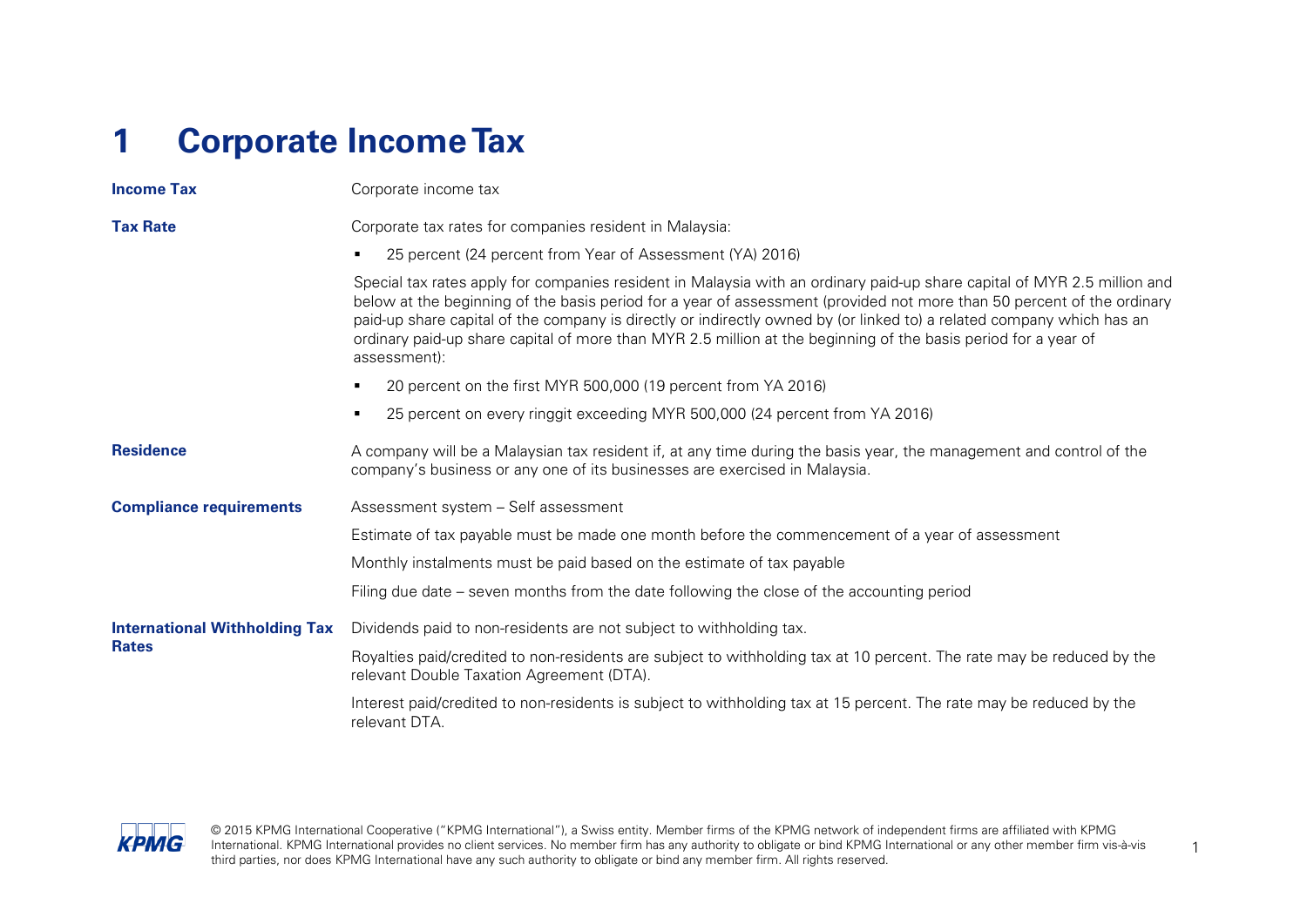## <span id="page-2-0"></span>**1 Corporate Income Tax**

| <b>Income Tax</b>                    | Corporate income tax                                                                                                                                                                                                                                                                                                                                                                                                                                                                                          |
|--------------------------------------|---------------------------------------------------------------------------------------------------------------------------------------------------------------------------------------------------------------------------------------------------------------------------------------------------------------------------------------------------------------------------------------------------------------------------------------------------------------------------------------------------------------|
| <b>Tax Rate</b>                      | Corporate tax rates for companies resident in Malaysia:                                                                                                                                                                                                                                                                                                                                                                                                                                                       |
|                                      | 25 percent (24 percent from Year of Assessment (YA) 2016)<br>٠                                                                                                                                                                                                                                                                                                                                                                                                                                                |
|                                      | Special tax rates apply for companies resident in Malaysia with an ordinary paid-up share capital of MYR 2.5 million and<br>below at the beginning of the basis period for a year of assessment (provided not more than 50 percent of the ordinary<br>paid-up share capital of the company is directly or indirectly owned by (or linked to) a related company which has an<br>ordinary paid-up share capital of more than MYR 2.5 million at the beginning of the basis period for a year of<br>assessment): |
|                                      | 20 percent on the first MYR 500,000 (19 percent from YA 2016)<br>٠                                                                                                                                                                                                                                                                                                                                                                                                                                            |
|                                      | 25 percent on every ringgit exceeding MYR 500,000 (24 percent from YA 2016)<br>٠                                                                                                                                                                                                                                                                                                                                                                                                                              |
| <b>Residence</b>                     | A company will be a Malaysian tax resident if, at any time during the basis year, the management and control of the<br>company's business or any one of its businesses are exercised in Malaysia.                                                                                                                                                                                                                                                                                                             |
| <b>Compliance requirements</b>       | Assessment system - Self assessment                                                                                                                                                                                                                                                                                                                                                                                                                                                                           |
|                                      | Estimate of tax payable must be made one month before the commencement of a year of assessment                                                                                                                                                                                                                                                                                                                                                                                                                |
|                                      | Monthly instalments must be paid based on the estimate of tax payable                                                                                                                                                                                                                                                                                                                                                                                                                                         |
|                                      | Filing due date – seven months from the date following the close of the accounting period                                                                                                                                                                                                                                                                                                                                                                                                                     |
| <b>International Withholding Tax</b> | Dividends paid to non-residents are not subject to withholding tax.                                                                                                                                                                                                                                                                                                                                                                                                                                           |
| <b>Rates</b>                         | Royalties paid/credited to non-residents are subject to withholding tax at 10 percent. The rate may be reduced by the<br>relevant Double Taxation Agreement (DTA).                                                                                                                                                                                                                                                                                                                                            |
|                                      | Interest paid/credited to non-residents is subject to withholding tax at 15 percent. The rate may be reduced by the<br>relevant DTA.                                                                                                                                                                                                                                                                                                                                                                          |

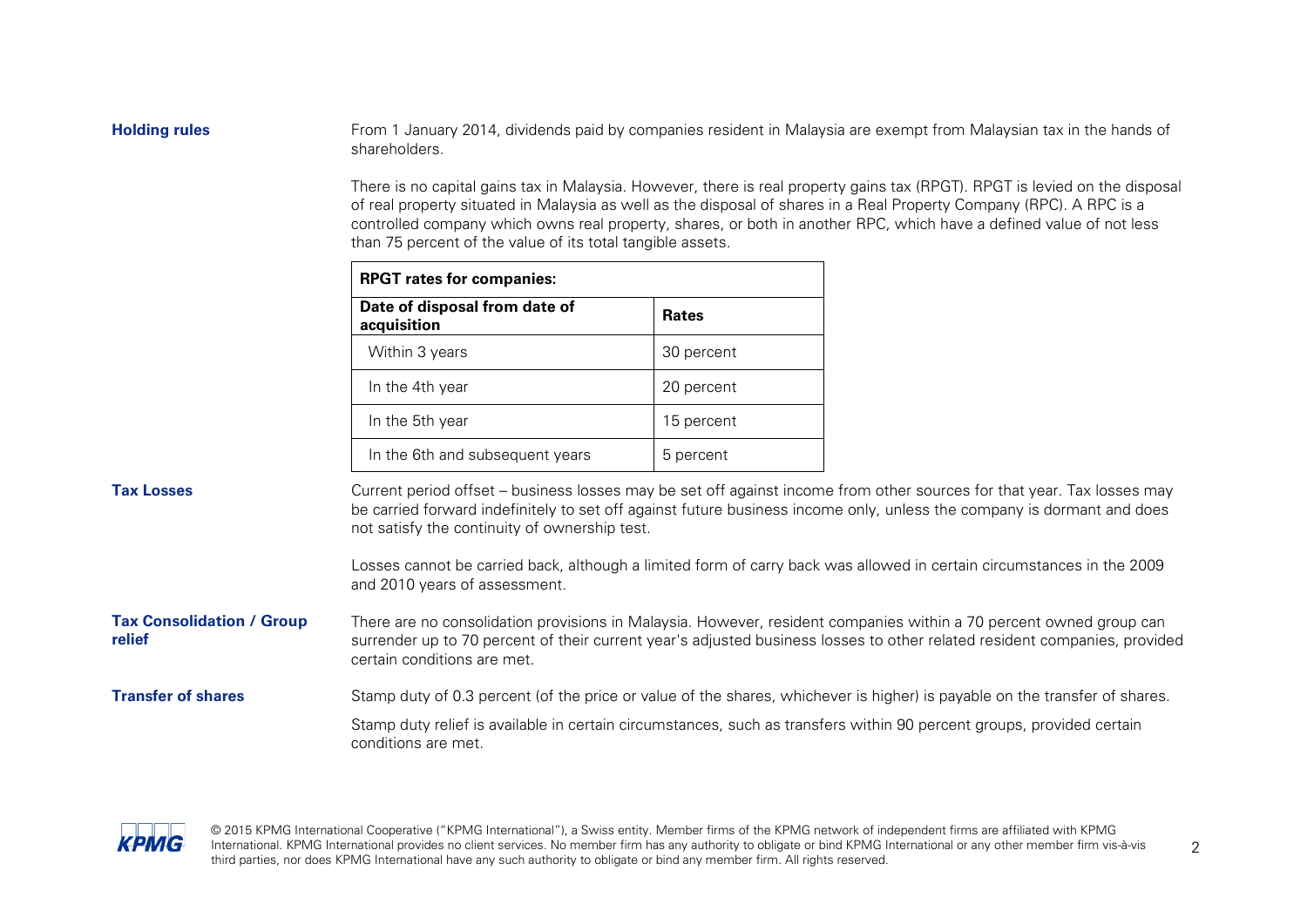**Holding rules** From 1 January 2014, dividends paid by companies resident in Malaysia are exempt from Malaysian tax in the hands of shareholders.

> There is no capital gains tax in Malaysia. However, there is real property gains tax (RPGT). RPGT is levied on the disposal of real property situated in Malaysia as well as the disposal of shares in a Real Property Company (RPC). A RPC is a controlled company which owns real property, shares, or both in another RPC, which have a defined value of not less than 75 percent of the value of its total tangible assets.

| <b>RPGT rates for companies:</b>             |              |  |
|----------------------------------------------|--------------|--|
| Date of disposal from date of<br>acquisition | <b>Rates</b> |  |
| Within 3 years                               | 30 percent   |  |
| In the 4th year                              | 20 percent   |  |
| In the 5th year                              | 15 percent   |  |
| In the 6th and subsequent years              | 5 percent    |  |

**Tax Losses** Current period offset – business losses may be set off against income from other sources for that year. Tax losses may be carried forward indefinitely to set off against future business income only, unless the company is dormant and does not satisfy the continuity of ownership test.

> Losses cannot be carried back, although a limited form of carry back was allowed in certain circumstances in the 2009 and 2010 years of assessment.

**Tax Consolidation / Group relief** There are no consolidation provisions in Malaysia. However, resident companies within a 70 percent owned group can surrender up to 70 percent of their current year's adjusted business losses to other related resident companies, provided certain conditions are met.

**Transfer of shares** Stamp duty of 0.3 percent (of the price or value of the shares, whichever is higher) is payable on the transfer of shares. Stamp duty relief is available in certain circumstances, such as transfers within 90 percent groups, provided certain conditions are met.

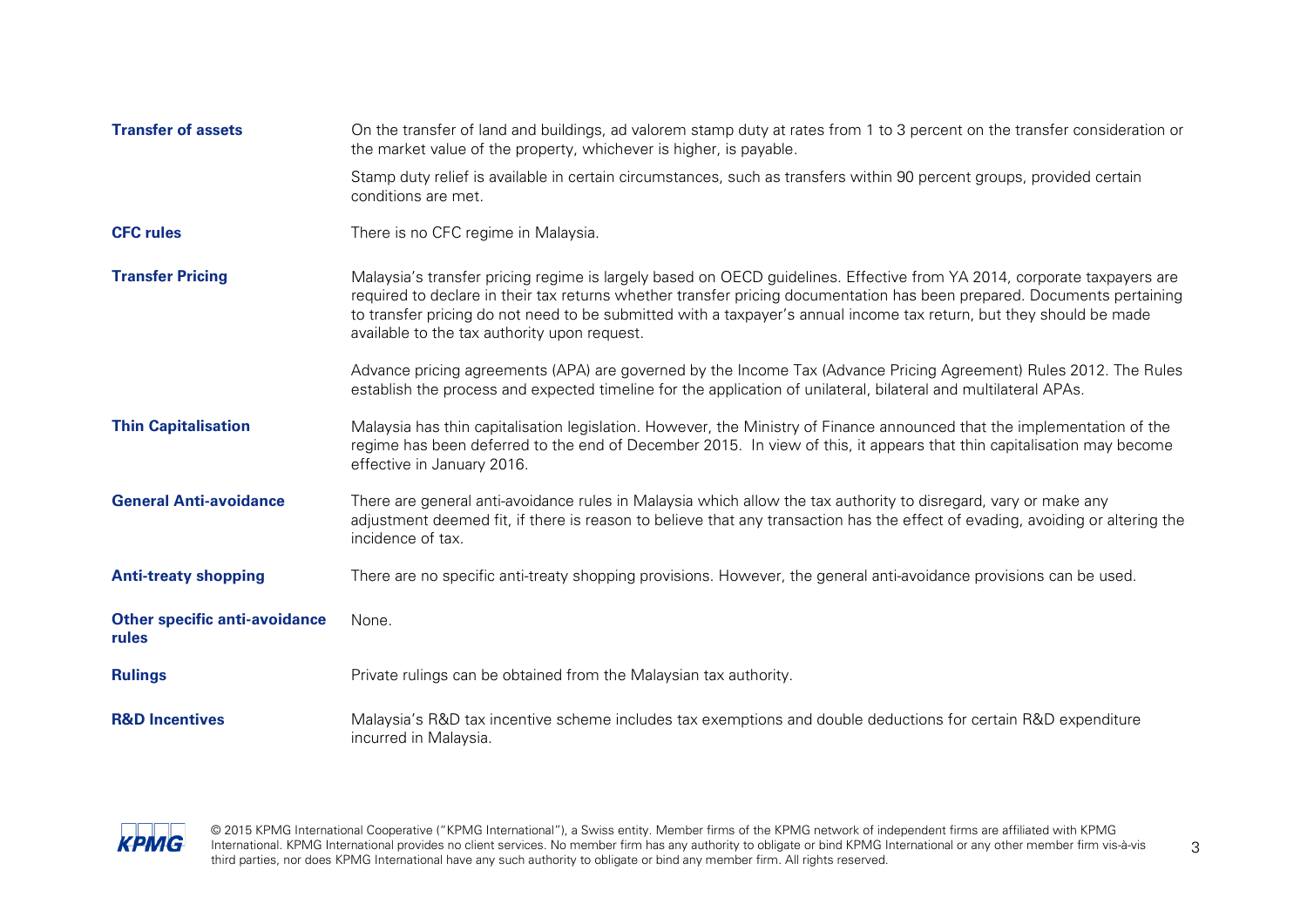| <b>Transfer of assets</b>                     | On the transfer of land and buildings, ad valorem stamp duty at rates from 1 to 3 percent on the transfer consideration or<br>the market value of the property, whichever is higher, is payable.                                                                                                                                                                                                                          |
|-----------------------------------------------|---------------------------------------------------------------------------------------------------------------------------------------------------------------------------------------------------------------------------------------------------------------------------------------------------------------------------------------------------------------------------------------------------------------------------|
|                                               | Stamp duty relief is available in certain circumstances, such as transfers within 90 percent groups, provided certain<br>conditions are met.                                                                                                                                                                                                                                                                              |
| <b>CFC rules</b>                              | There is no CFC regime in Malaysia.                                                                                                                                                                                                                                                                                                                                                                                       |
| <b>Transfer Pricing</b>                       | Malaysia's transfer pricing regime is largely based on OECD guidelines. Effective from YA 2014, corporate taxpayers are<br>required to declare in their tax returns whether transfer pricing documentation has been prepared. Documents pertaining<br>to transfer pricing do not need to be submitted with a taxpayer's annual income tax return, but they should be made<br>available to the tax authority upon request. |
|                                               | Advance pricing agreements (APA) are governed by the Income Tax (Advance Pricing Agreement) Rules 2012. The Rules<br>establish the process and expected timeline for the application of unilateral, bilateral and multilateral APAs.                                                                                                                                                                                      |
| <b>Thin Capitalisation</b>                    | Malaysia has thin capitalisation legislation. However, the Ministry of Finance announced that the implementation of the<br>regime has been deferred to the end of December 2015. In view of this, it appears that thin capitalisation may become<br>effective in January 2016.                                                                                                                                            |
| <b>General Anti-avoidance</b>                 | There are general anti-avoidance rules in Malaysia which allow the tax authority to disregard, vary or make any<br>adjustment deemed fit, if there is reason to believe that any transaction has the effect of evading, avoiding or altering the<br>incidence of tax.                                                                                                                                                     |
| <b>Anti-treaty shopping</b>                   | There are no specific anti-treaty shopping provisions. However, the general anti-avoidance provisions can be used.                                                                                                                                                                                                                                                                                                        |
| <b>Other specific anti-avoidance</b><br>rules | None.                                                                                                                                                                                                                                                                                                                                                                                                                     |
| <b>Rulings</b>                                | Private rulings can be obtained from the Malaysian tax authority.                                                                                                                                                                                                                                                                                                                                                         |
| <b>R&amp;D Incentives</b>                     | Malaysia's R&D tax incentive scheme includes tax exemptions and double deductions for certain R&D expenditure<br>incurred in Malaysia.                                                                                                                                                                                                                                                                                    |

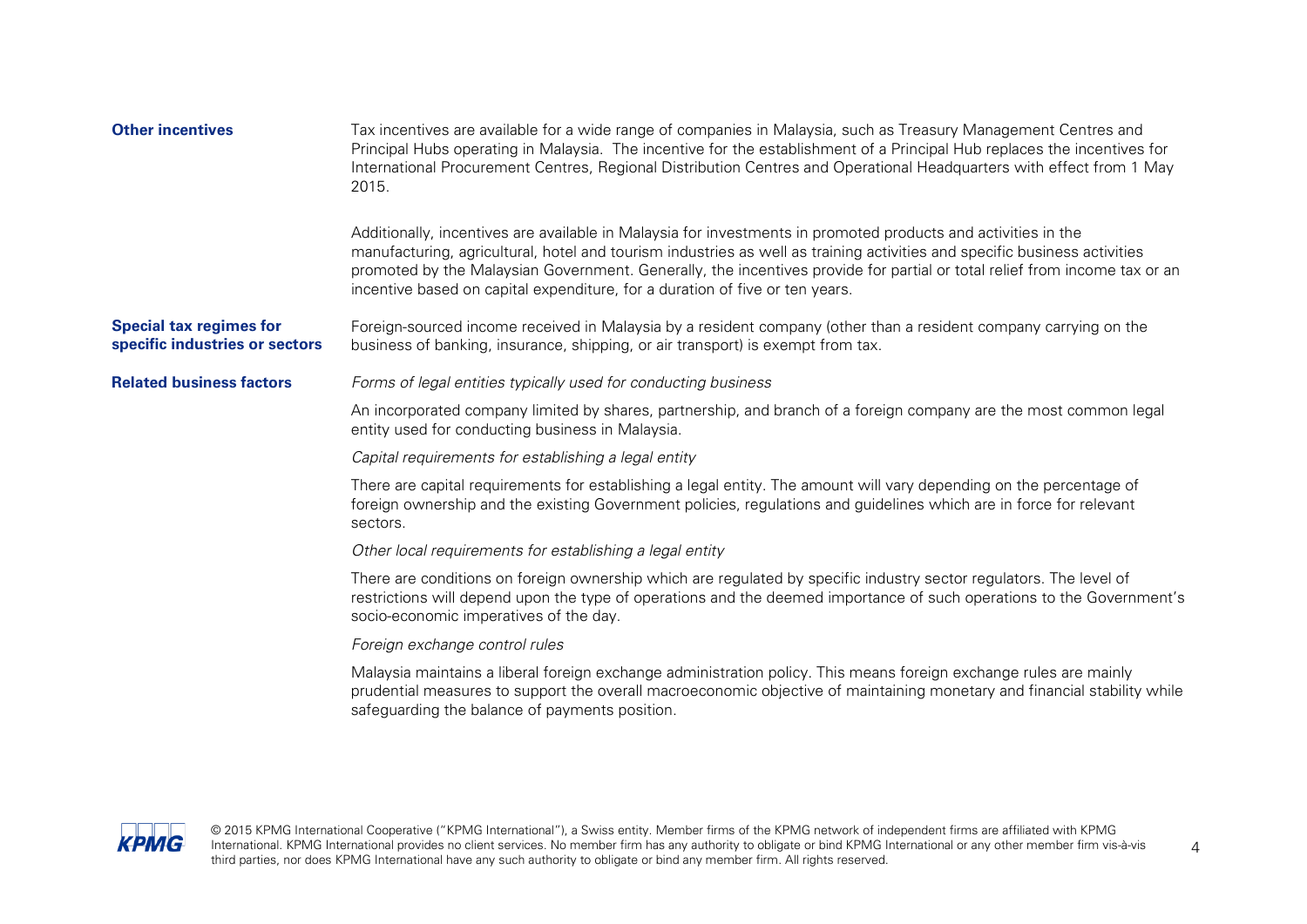| <b>Other incentives</b>                                          | Tax incentives are available for a wide range of companies in Malaysia, such as Treasury Management Centres and<br>Principal Hubs operating in Malaysia. The incentive for the establishment of a Principal Hub replaces the incentives for<br>International Procurement Centres, Regional Distribution Centres and Operational Headquarters with effect from 1 May<br>2015.                                                                            |
|------------------------------------------------------------------|---------------------------------------------------------------------------------------------------------------------------------------------------------------------------------------------------------------------------------------------------------------------------------------------------------------------------------------------------------------------------------------------------------------------------------------------------------|
|                                                                  | Additionally, incentives are available in Malaysia for investments in promoted products and activities in the<br>manufacturing, agricultural, hotel and tourism industries as well as training activities and specific business activities<br>promoted by the Malaysian Government. Generally, the incentives provide for partial or total relief from income tax or an<br>incentive based on capital expenditure, for a duration of five or ten years. |
| <b>Special tax regimes for</b><br>specific industries or sectors | Foreign-sourced income received in Malaysia by a resident company (other than a resident company carrying on the<br>business of banking, insurance, shipping, or air transport) is exempt from tax.                                                                                                                                                                                                                                                     |
| <b>Related business factors</b>                                  | Forms of legal entities typically used for conducting business                                                                                                                                                                                                                                                                                                                                                                                          |
|                                                                  | An incorporated company limited by shares, partnership, and branch of a foreign company are the most common legal<br>entity used for conducting business in Malaysia.                                                                                                                                                                                                                                                                                   |
|                                                                  | Capital requirements for establishing a legal entity                                                                                                                                                                                                                                                                                                                                                                                                    |
|                                                                  | There are capital requirements for establishing a legal entity. The amount will vary depending on the percentage of<br>foreign ownership and the existing Government policies, regulations and guidelines which are in force for relevant<br>sectors.                                                                                                                                                                                                   |
|                                                                  | Other local requirements for establishing a legal entity                                                                                                                                                                                                                                                                                                                                                                                                |
|                                                                  | There are conditions on foreign ownership which are regulated by specific industry sector regulators. The level of<br>restrictions will depend upon the type of operations and the deemed importance of such operations to the Government's<br>socio-economic imperatives of the day.                                                                                                                                                                   |
|                                                                  | Foreign exchange control rules                                                                                                                                                                                                                                                                                                                                                                                                                          |
|                                                                  | Malaysia maintains a liberal foreign exchange administration policy. This means foreign exchange rules are mainly<br>prudential measures to support the overall macroeconomic objective of maintaining monetary and financial stability while<br>safeguarding the balance of payments position.                                                                                                                                                         |

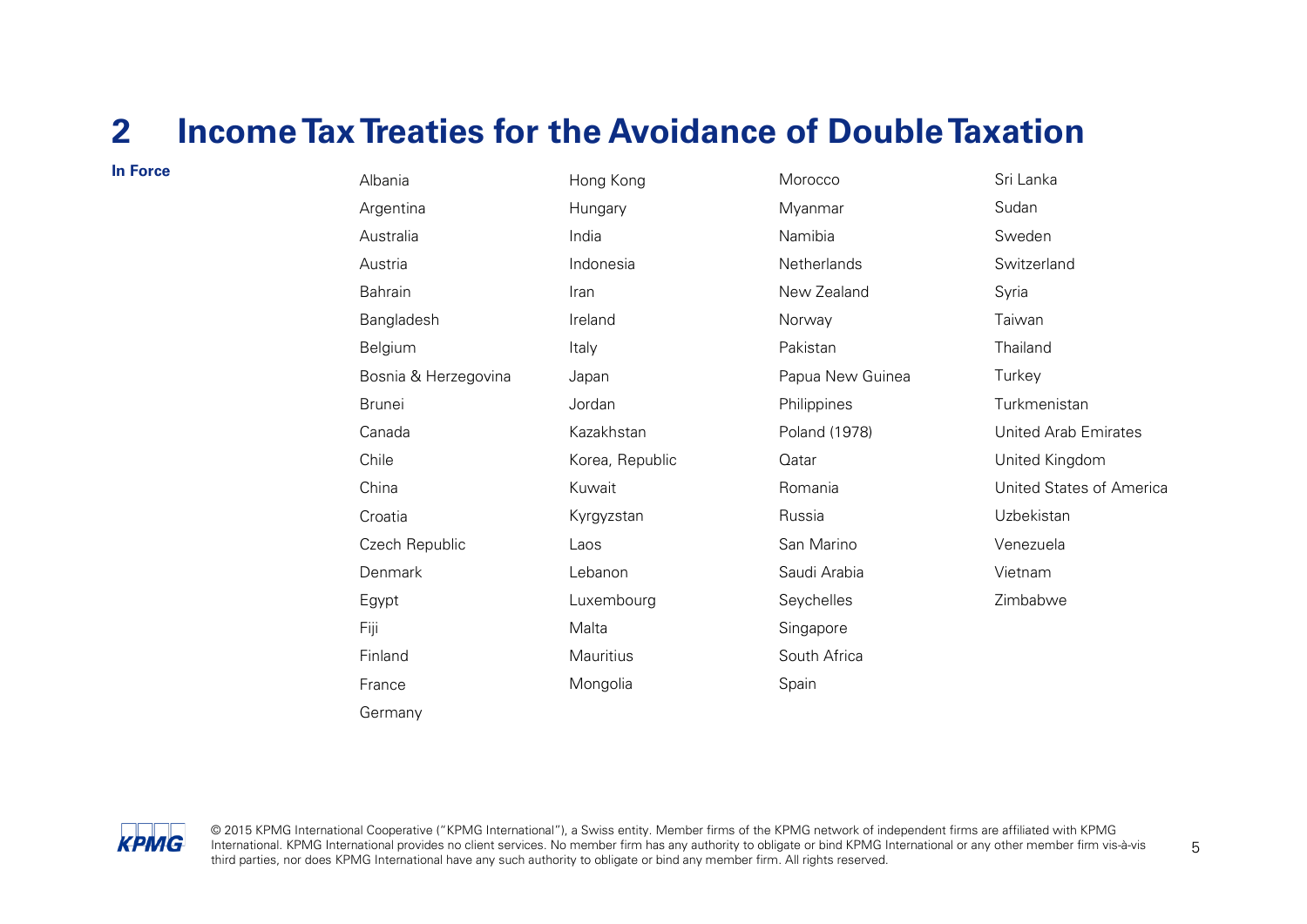### <span id="page-6-0"></span>**2 Income TaxTreaties for the Avoidance of Double Taxation**

| In Force | Albania              | Hong Kong       | Morocco          |
|----------|----------------------|-----------------|------------------|
|          | Argentina            | Hungary         | Myanmar          |
|          | Australia            | India           | Namibia          |
|          | Austria              | Indonesia       | Netherlands      |
|          | Bahrain              | Iran            | New Zealand      |
|          | Bangladesh           | Ireland         | Norway           |
|          | Belgium              | Italy           | Pakistan         |
|          | Bosnia & Herzegovina | Japan           | Papua New Guinea |
|          | <b>Brunei</b>        | Jordan          | Philippines      |
|          | Canada               | Kazakhstan      | Poland (1978)    |
|          | Chile                | Korea, Republic | Qatar            |
|          | China                | Kuwait          | Romania          |
|          | Croatia              | Kyrgyzstan      | Russia           |
|          | Czech Republic       | Laos            | San Marino       |
|          | Denmark              | Lebanon         | Saudi Arabia     |
|          | Egypt                | Luxembourg      | Seychelles       |
|          | Fiji                 | Malta           | Singapore        |
|          | Finland              | Mauritius       | South Africa     |
|          | France               | Mongolia        | Spain            |
|          | Germany              |                 |                  |

Sri Lanka Sudan Sweden **Switzerland** Syria Taiwan Thailand **Turkey** Turkmenistan United Arab Emirates United Kingdom United States of America Uzbekistan Venezuela Vietnam Zimbabwe

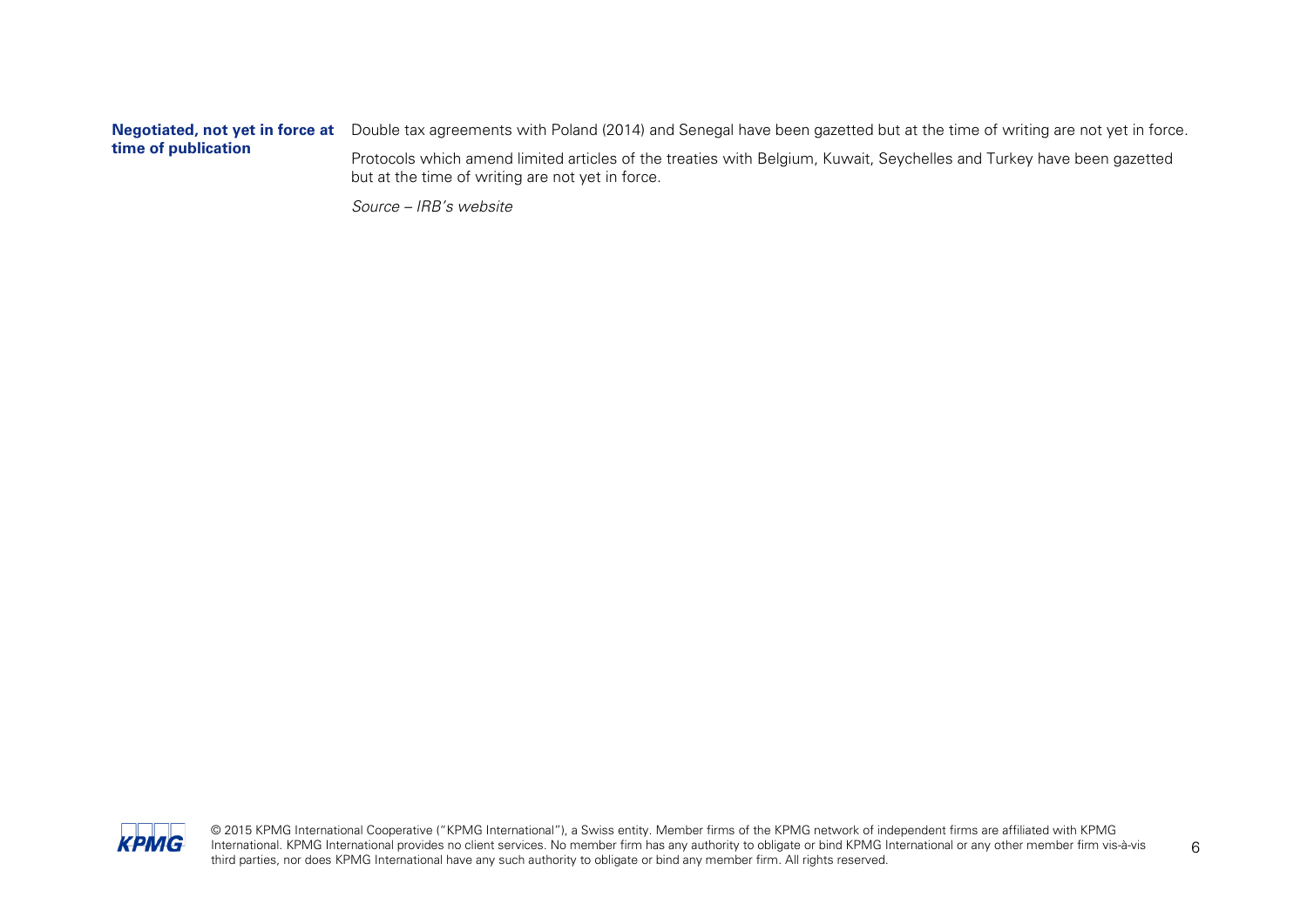#### **Negotiated, not yet in force at**  Double tax agreements with Poland (2014) and Senegal have been gazetted but at the time of writing are not yet in force. **time of publication** Protocols which amend limited articles of the treaties with Belgium, Kuwait, Seychelles and Turkey have been gazetted but at the time of writing are not yet in force.

Source – IRB's website

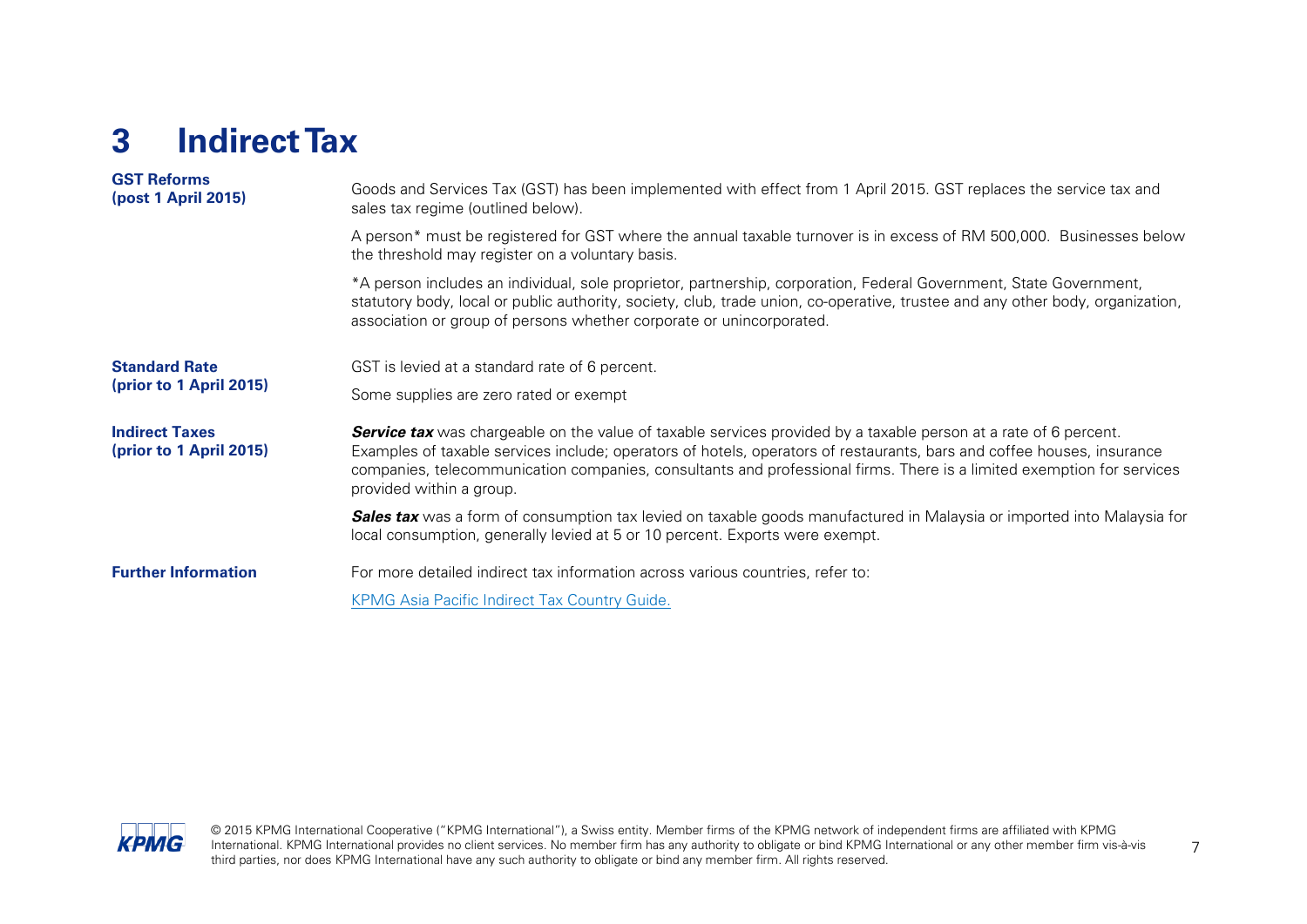## <span id="page-8-0"></span>**3 Indirect Tax**

| <b>GST Reforms</b><br>(post 1 April 2015)        | Goods and Services Tax (GST) has been implemented with effect from 1 April 2015. GST replaces the service tax and<br>sales tax regime (outlined below).                                                                                                                                                                                                                                                |
|--------------------------------------------------|--------------------------------------------------------------------------------------------------------------------------------------------------------------------------------------------------------------------------------------------------------------------------------------------------------------------------------------------------------------------------------------------------------|
|                                                  | A person* must be registered for GST where the annual taxable turnover is in excess of RM 500,000. Businesses below<br>the threshold may register on a voluntary basis.                                                                                                                                                                                                                                |
|                                                  | *A person includes an individual, sole proprietor, partnership, corporation, Federal Government, State Government,<br>statutory body, local or public authority, society, club, trade union, co-operative, trustee and any other body, organization,<br>association or group of persons whether corporate or unincorporated.                                                                           |
| <b>Standard Rate</b>                             | GST is levied at a standard rate of 6 percent.                                                                                                                                                                                                                                                                                                                                                         |
| (prior to 1 April 2015)                          | Some supplies are zero rated or exempt                                                                                                                                                                                                                                                                                                                                                                 |
| <b>Indirect Taxes</b><br>(prior to 1 April 2015) | <b>Service tax</b> was chargeable on the value of taxable services provided by a taxable person at a rate of 6 percent.<br>Examples of taxable services include; operators of hotels, operators of restaurants, bars and coffee houses, insurance<br>companies, telecommunication companies, consultants and professional firms. There is a limited exemption for services<br>provided within a group. |
|                                                  | <b>Sales tax</b> was a form of consumption tax levied on taxable goods manufactured in Malaysia or imported into Malaysia for<br>local consumption, generally levied at 5 or 10 percent. Exports were exempt.                                                                                                                                                                                          |
| <b>Further Information</b>                       | For more detailed indirect tax information across various countries, refer to:                                                                                                                                                                                                                                                                                                                         |
|                                                  | <b>KPMG Asia Pacific Indirect Tax Country Guide.</b>                                                                                                                                                                                                                                                                                                                                                   |

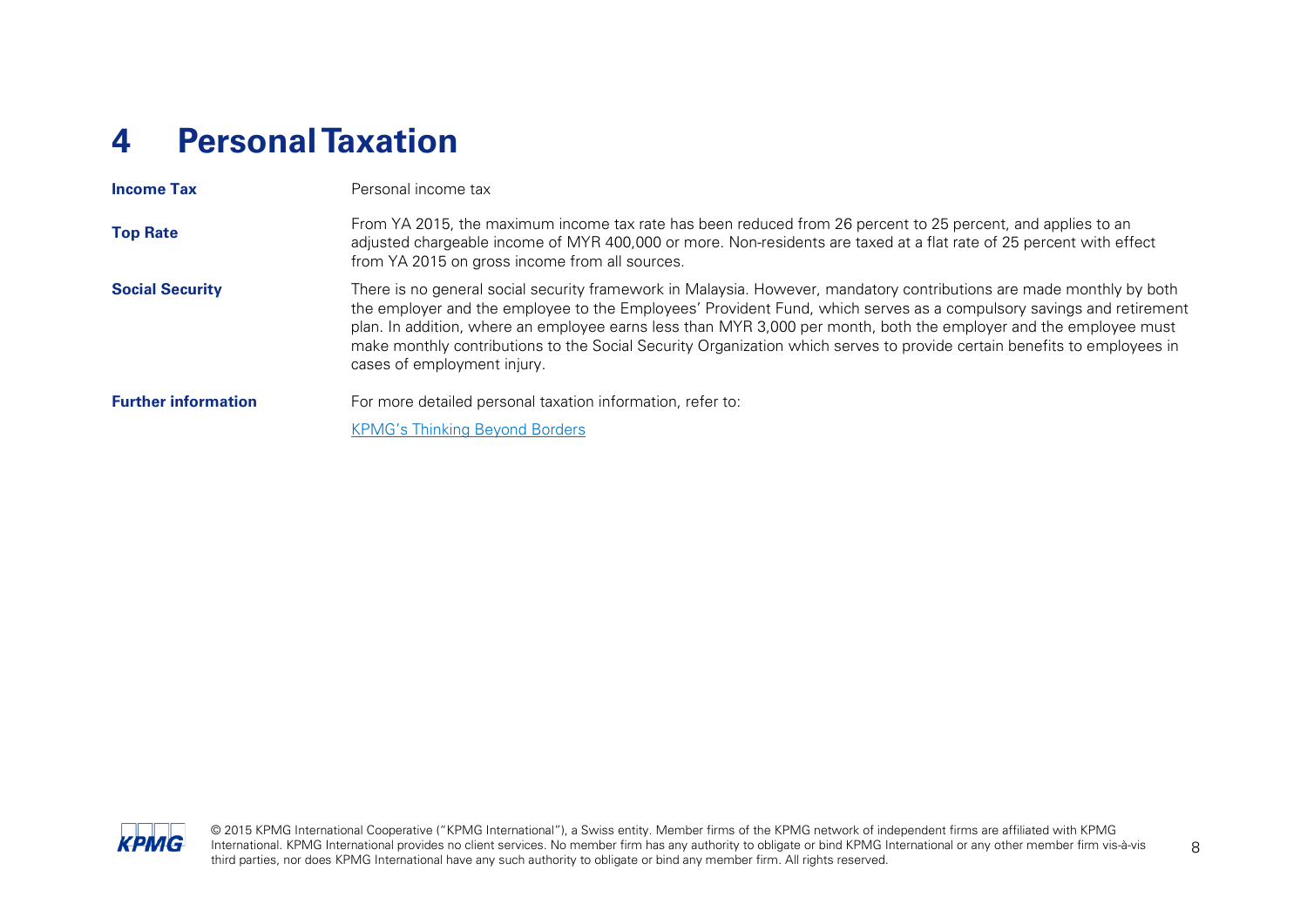## <span id="page-9-0"></span>**4 Personal Taxation**

| <b>Income Tax</b>          | Personal income tax                                                                                                                                                                                                                                                                                                                                                                                                                                                                                                        |
|----------------------------|----------------------------------------------------------------------------------------------------------------------------------------------------------------------------------------------------------------------------------------------------------------------------------------------------------------------------------------------------------------------------------------------------------------------------------------------------------------------------------------------------------------------------|
| <b>Top Rate</b>            | From YA 2015, the maximum income tax rate has been reduced from 26 percent to 25 percent, and applies to an<br>adjusted chargeable income of MYR 400,000 or more. Non-residents are taxed at a flat rate of 25 percent with effect<br>from YA 2015 on gross income from all sources.                                                                                                                                                                                                                                       |
| <b>Social Security</b>     | There is no general social security framework in Malaysia. However, mandatory contributions are made monthly by both<br>the employer and the employee to the Employees' Provident Fund, which serves as a compulsory savings and retirement<br>plan. In addition, where an employee earns less than MYR 3,000 per month, both the employer and the employee must<br>make monthly contributions to the Social Security Organization which serves to provide certain benefits to employees in<br>cases of employment injury. |
| <b>Further information</b> | For more detailed personal taxation information, refer to:                                                                                                                                                                                                                                                                                                                                                                                                                                                                 |
|                            | <b>KPMG's Thinking Beyond Borders</b>                                                                                                                                                                                                                                                                                                                                                                                                                                                                                      |

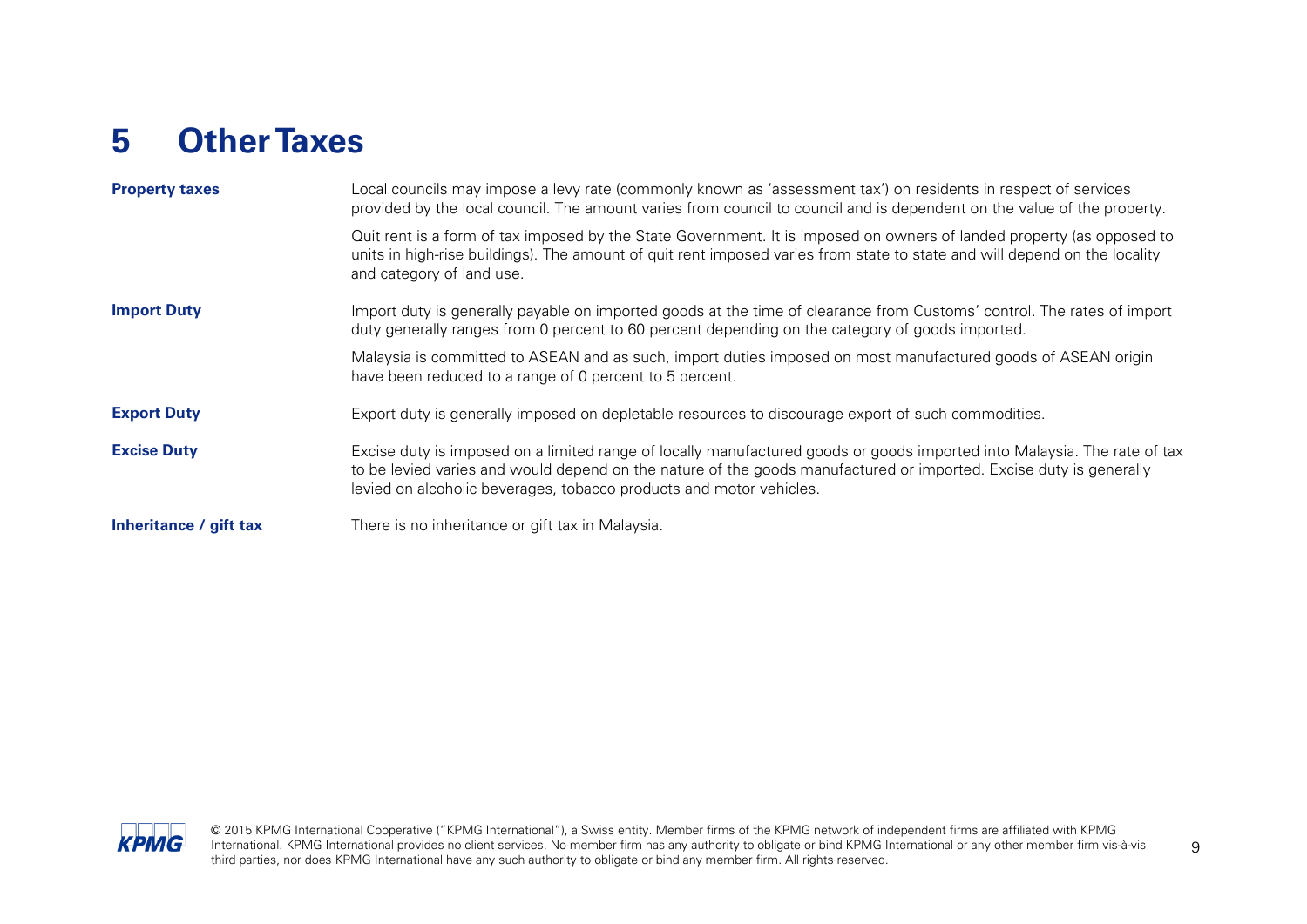## <span id="page-10-0"></span>**5 Other Taxes**

| <b>Property taxes</b>  | Local councils may impose a levy rate (commonly known as 'assessment tax') on residents in respect of services<br>provided by the local council. The amount varies from council to council and is dependent on the value of the property.                                                                             |
|------------------------|-----------------------------------------------------------------------------------------------------------------------------------------------------------------------------------------------------------------------------------------------------------------------------------------------------------------------|
|                        | Quit rent is a form of tax imposed by the State Government. It is imposed on owners of landed property (as opposed to<br>units in high-rise buildings). The amount of quit rent imposed varies from state to state and will depend on the locality<br>and category of land use.                                       |
| <b>Import Duty</b>     | Import duty is generally payable on imported goods at the time of clearance from Customs' control. The rates of import<br>duty generally ranges from 0 percent to 60 percent depending on the category of goods imported.                                                                                             |
|                        | Malaysia is committed to ASEAN and as such, import duties imposed on most manufactured goods of ASEAN origin<br>have been reduced to a range of 0 percent to 5 percent.                                                                                                                                               |
| <b>Export Duty</b>     | Export duty is generally imposed on depletable resources to discourage export of such commodities.                                                                                                                                                                                                                    |
| <b>Excise Duty</b>     | Excise duty is imposed on a limited range of locally manufactured goods or goods imported into Malaysia. The rate of tax<br>to be levied varies and would depend on the nature of the goods manufactured or imported. Excise duty is generally<br>levied on alcoholic beverages, tobacco products and motor vehicles. |
| Inheritance / gift tax | There is no inheritance or gift tax in Malaysia.                                                                                                                                                                                                                                                                      |

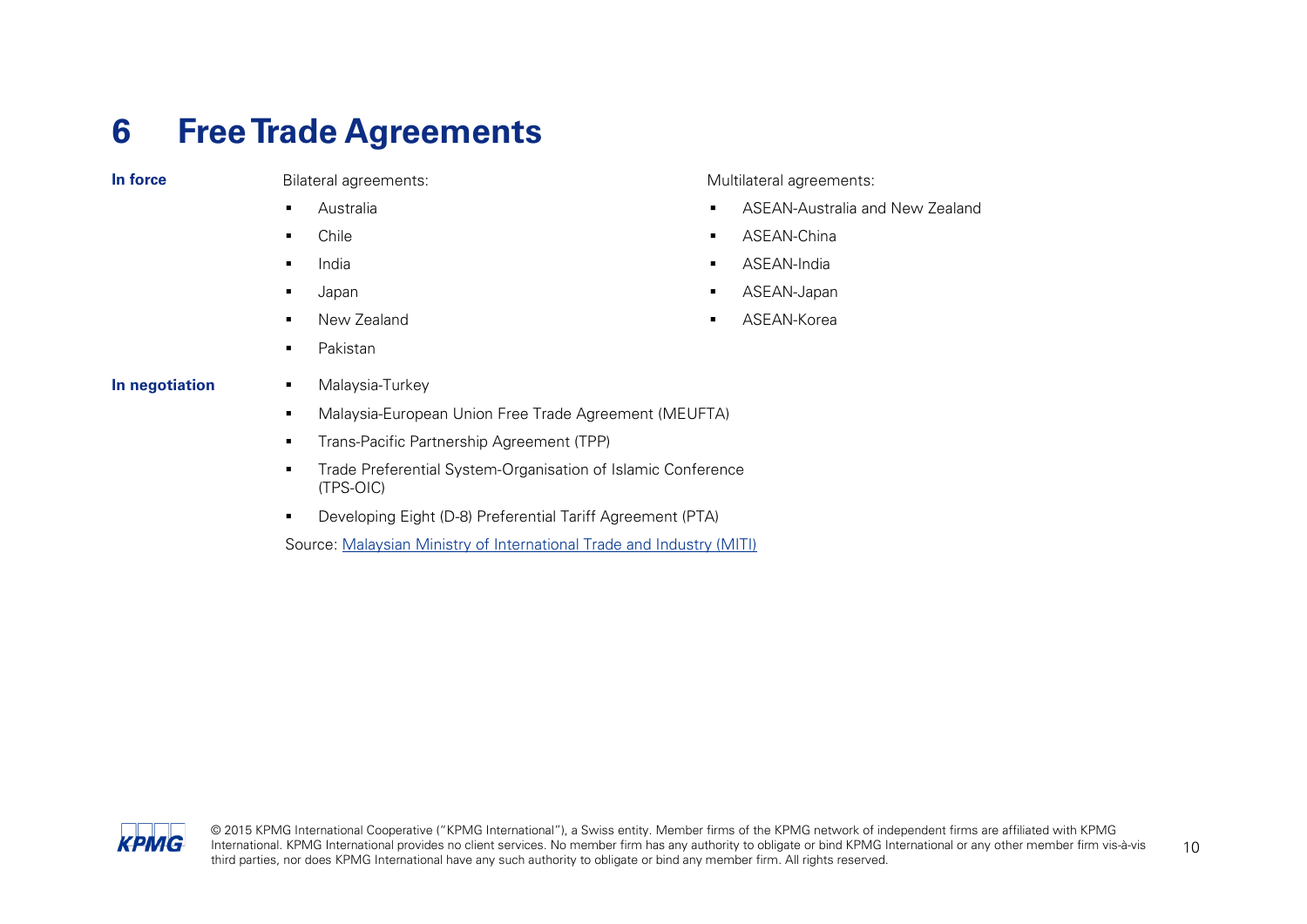### <span id="page-11-0"></span>**6 Free Trade Agreements**

**In force** Bilateral agreements:

- Australia
- Chile
- India
- Japan
- **New Zealand**
- Pakistan

Multilateral agreements:

- **ASEAN-Australia and New Zealand**
- **ASEAN-China**
- **ASEAN-India**
- ASEAN-Japan
- ASEAN-Korea

- **In negotiation Malaysia-Turkey** 
	- Malaysia-European Union Free Trade Agreement (MEUFTA)
	- **Trans-Pacific Partnership Agreement (TPP)**
	- **Trade Preferential System-Organisation of Islamic Conference** (TPS-OIC)
	- Developing Eight (D-8) Preferential Tariff Agreement (PTA)

Source: [Malaysian Ministry of International Trade and Industry \(MITI\)](http://www.miti.gov.my/cms/index.jsp)

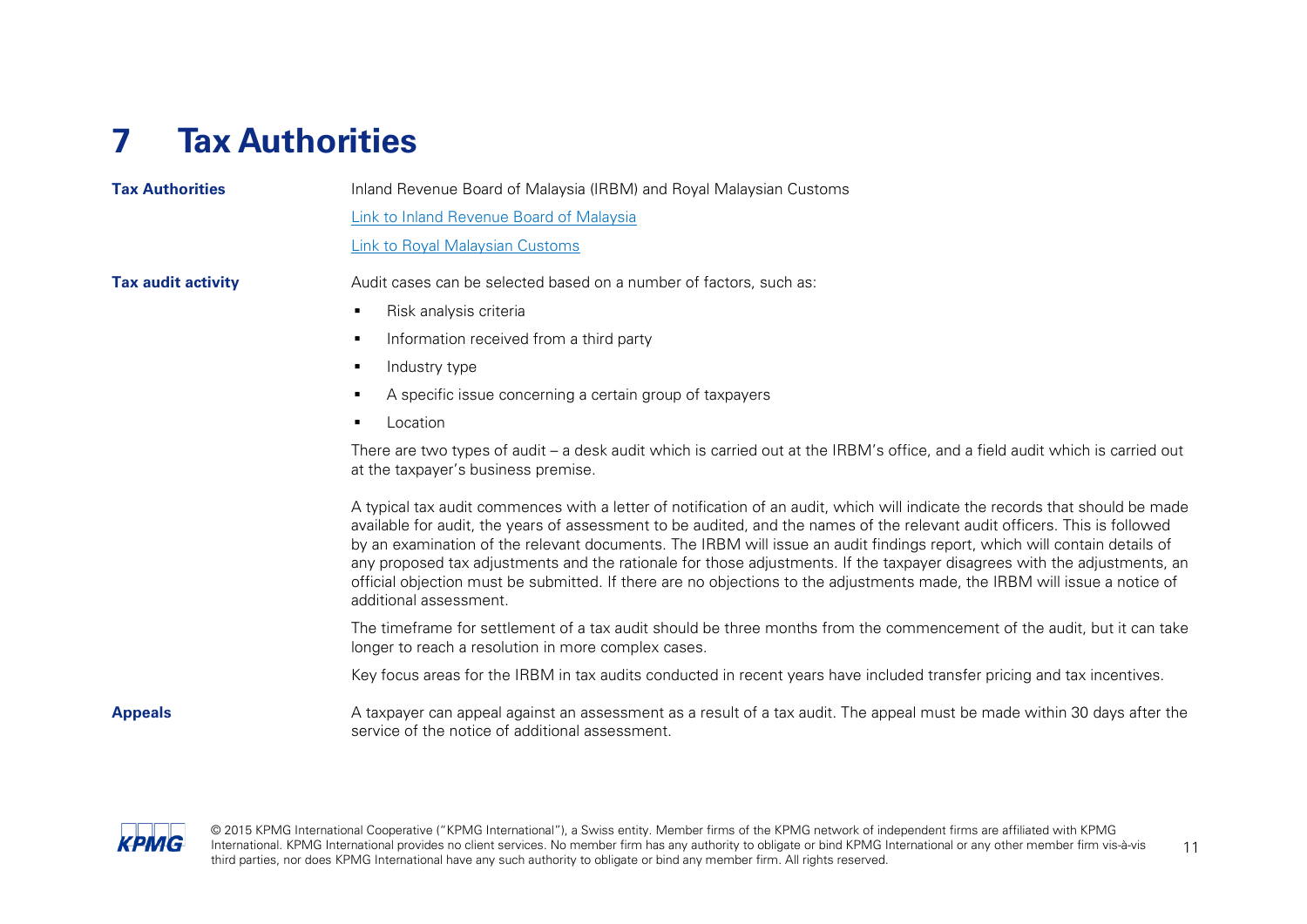## <span id="page-12-0"></span>**7 Tax Authorities**

#### **Tax Authorities Inland Revenue Board of Malaysia (IRBM) and Royal Malaysian Customs** [Link to Inland Revenue Board of Malaysia](http://www.hasil.gov.my/index.php) [Link to Royal Malaysian Customs](http://www.customs.gov.my/) **Tax audit activity** Audit cases can be selected based on a number of factors, such as: Risk analysis criteria Information received from a third party  $\blacksquare$  Industry type A specific issue concerning a certain group of taxpayers Location There are two types of audit – a desk audit which is carried out at the IRBM's office, and a field audit which is carried out at the taxpayer's business premise. A typical tax audit commences with a letter of notification of an audit, which will indicate the records that should be made available for audit, the years of assessment to be audited, and the names of the relevant audit officers. This is followed by an examination of the relevant documents. The IRBM will issue an audit findings report, which will contain details of any proposed tax adjustments and the rationale for those adjustments. If the taxpayer disagrees with the adjustments, an official objection must be submitted. If there are no objections to the adjustments made, the IRBM will issue a notice of additional assessment. The timeframe for settlement of a tax audit should be three months from the commencement of the audit, but it can take longer to reach a resolution in more complex cases. Key focus areas for the IRBM in tax audits conducted in recent years have included transfer pricing and tax incentives.

**Appeals** A taxpayer can appeal against an assessment as a result of a tax audit. The appeal must be made within 30 days after the service of the notice of additional assessment.